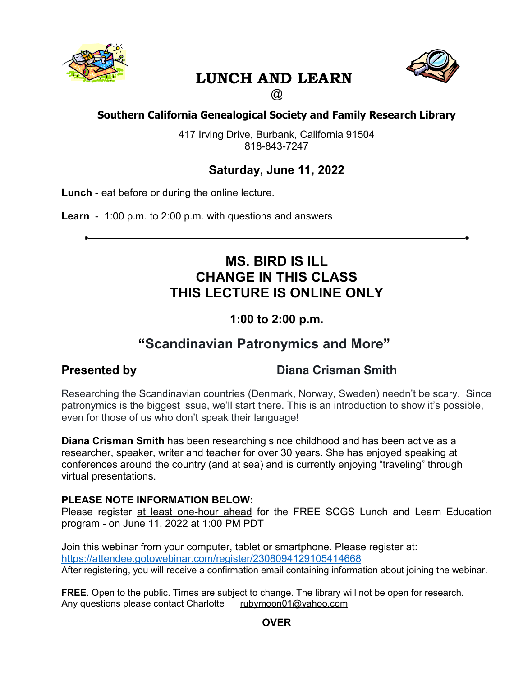

# **LUNCH AND LEARN**



 $\circledR$ 

### **Southern California Genealogical Society and Family Research Library**

417 Irving Drive, Burbank, California 91504 818-843-7247

## **Saturday, June 11, 2022**

**Lunch** - eat before or during the online lecture.

**Learn** - 1:00 p.m. to 2:00 p.m. with questions and answers

## **MS. BIRD IS ILL CHANGE IN THIS CLASS THIS LECTURE IS ONLINE ONLY**

## **1:00 to 2:00 p.m.**

## **"Scandinavian Patronymics and More"**

## **Presented by Diana Crisman Smith**

Researching the Scandinavian countries (Denmark, Norway, Sweden) needn't be scary. Since patronymics is the biggest issue, we'll start there. This is an introduction to show it's possible, even for those of us who don't speak their language!

**Diana Crisman Smith** has been researching since childhood and has been active as a researcher, speaker, writer and teacher for over 30 years. She has enjoyed speaking at conferences around the country (and at sea) and is currently enjoying "traveling" through virtual presentations.

#### **PLEASE NOTE INFORMATION BELOW:**

Please register at least one-hour ahead for the FREE SCGS Lunch and Learn Education program - on June 11, 2022 at 1:00 PM PDT

Join this webinar from your computer, tablet or smartphone. Please register at: https://attendee.gotowebinar.com/register/2308094129105414668 After registering, you will receive a confirmation email containing information about joining the webinar.

**FREE**. Open to the public. Times are subject to change. The library will not be open for research. Any questions please contact Charlotte rubymoon01@yahoo.com